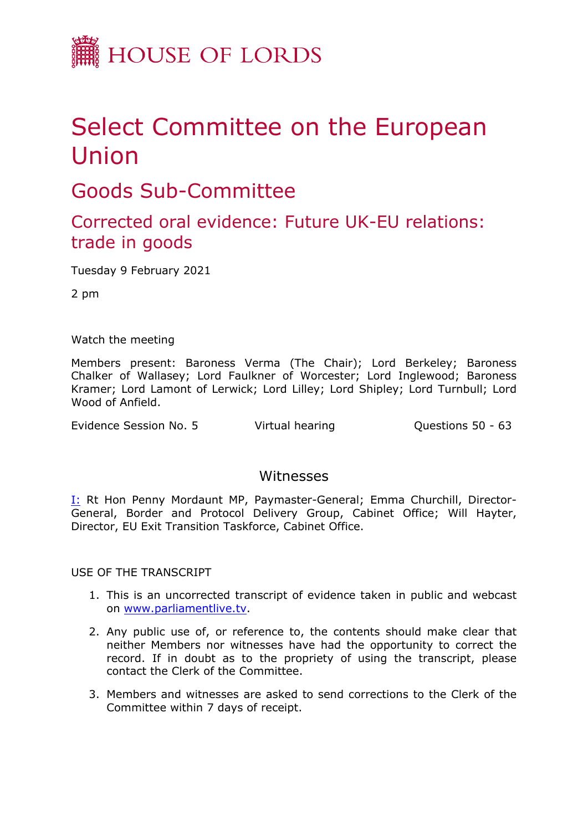

## Select Committee on the European Union

Goods Sub-Committee

## Corrected oral evidence: Future UK-EU relations: trade in goods

Tuesday 9 February 2021

2 pm

Watch the meeting

Members present: Baroness Verma (The Chair); Lord Berkeley; Baroness Chalker of Wallasey; Lord Faulkner of Worcester; Lord Inglewood; Baroness Kramer; Lord Lamont of Lerwick; Lord Lilley; Lord Shipley; Lord Turnbull; Lord Wood of Anfield.

Evidence Session No. 5 Virtual hearing Cuestions 50 - 63

## Witnesses

I: Rt Hon Penny Mordaunt MP, Paymaster-General; Emma Churchill, Director-General, Border and Protocol Delivery Group, Cabinet Office; Will Hayter, Director, EU Exit Transition Taskforce, Cabinet Office.

USE OF THE TRANSCRIPT

- 1. This is an uncorrected transcript of evidence taken in public and webcast on [www.parliamentlive.tv.](http://www.parliamentlive.tv/)
- 2. Any public use of, or reference to, the contents should make clear that neither Members nor witnesses have had the opportunity to correct the record. If in doubt as to the propriety of using the transcript, please contact the Clerk of the Committee.
- 3. Members and witnesses are asked to send corrections to the Clerk of the Committee within 7 days of receipt.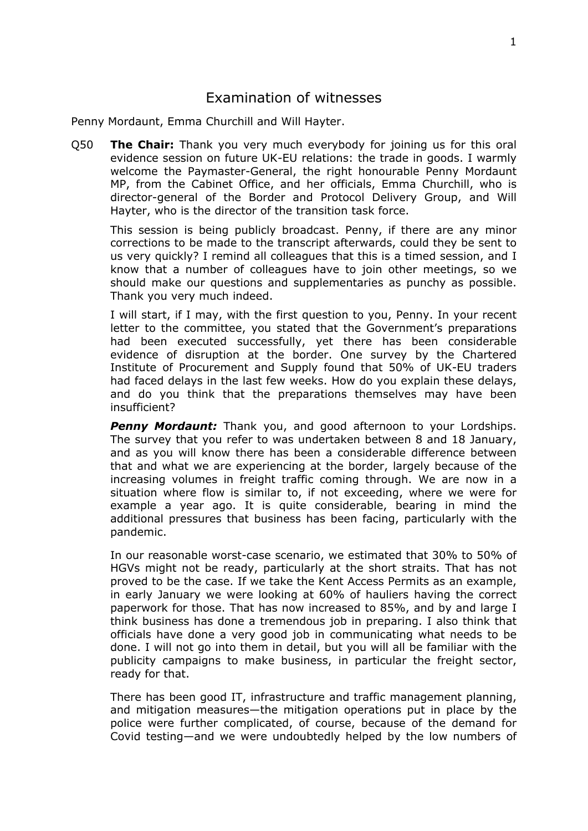## Examination of witnesses

Penny Mordaunt, Emma Churchill and Will Hayter.

Q50 **The Chair:** Thank you very much everybody for joining us for this oral evidence session on future UK-EU relations: the trade in goods. I warmly welcome the Paymaster-General, the right honourable Penny Mordaunt MP, from the Cabinet Office, and her officials, Emma Churchill, who is director-general of the Border and Protocol Delivery Group, and Will Hayter, who is the director of the transition task force.

This session is being publicly broadcast. Penny, if there are any minor corrections to be made to the transcript afterwards, could they be sent to us very quickly? I remind all colleagues that this is a timed session, and I know that a number of colleagues have to join other meetings, so we should make our questions and supplementaries as punchy as possible. Thank you very much indeed.

I will start, if I may, with the first question to you, Penny. In your recent letter to the committee, you stated that the Government's preparations had been executed successfully, yet there has been considerable evidence of disruption at the border. One survey by the Chartered Institute of Procurement and Supply found that 50% of UK-EU traders had faced delays in the last few weeks. How do you explain these delays, and do you think that the preparations themselves may have been insufficient?

**Penny Mordaunt:** Thank you, and good afternoon to your Lordships. The survey that you refer to was undertaken between 8 and 18 January, and as you will know there has been a considerable difference between that and what we are experiencing at the border, largely because of the increasing volumes in freight traffic coming through. We are now in a situation where flow is similar to, if not exceeding, where we were for example a year ago. It is quite considerable, bearing in mind the additional pressures that business has been facing, particularly with the pandemic.

In our reasonable worst-case scenario, we estimated that 30% to 50% of HGVs might not be ready, particularly at the short straits. That has not proved to be the case. If we take the Kent Access Permits as an example, in early January we were looking at 60% of hauliers having the correct paperwork for those. That has now increased to 85%, and by and large I think business has done a tremendous job in preparing. I also think that officials have done a very good job in communicating what needs to be done. I will not go into them in detail, but you will all be familiar with the publicity campaigns to make business, in particular the freight sector, ready for that.

There has been good IT, infrastructure and traffic management planning, and mitigation measures—the mitigation operations put in place by the police were further complicated, of course, because of the demand for Covid testing—and we were undoubtedly helped by the low numbers of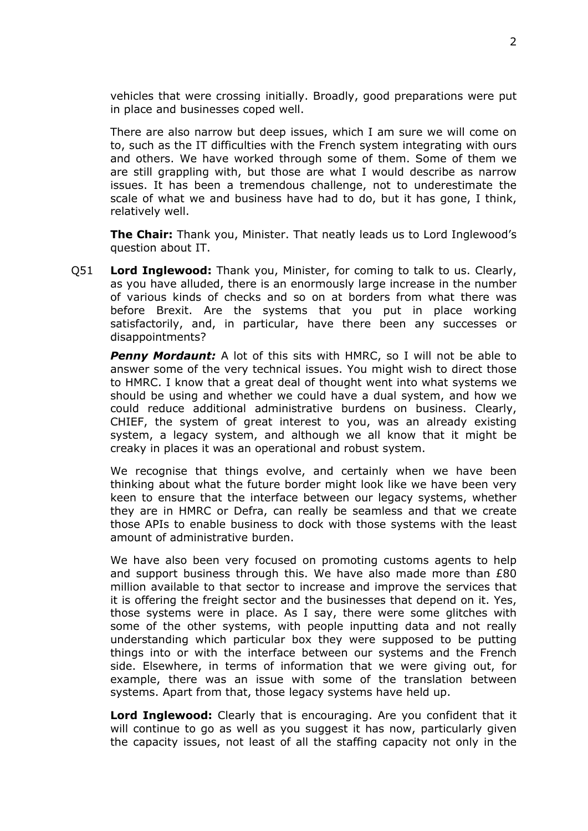vehicles that were crossing initially. Broadly, good preparations were put in place and businesses coped well.

There are also narrow but deep issues, which I am sure we will come on to, such as the IT difficulties with the French system integrating with ours and others. We have worked through some of them. Some of them we are still grappling with, but those are what I would describe as narrow issues. It has been a tremendous challenge, not to underestimate the scale of what we and business have had to do, but it has gone, I think, relatively well.

**The Chair:** Thank you, Minister. That neatly leads us to Lord Inglewood's question about IT.

Q51 **Lord Inglewood:** Thank you, Minister, for coming to talk to us. Clearly, as you have alluded, there is an enormously large increase in the number of various kinds of checks and so on at borders from what there was before Brexit. Are the systems that you put in place working satisfactorily, and, in particular, have there been any successes or disappointments?

*Penny Mordaunt:* A lot of this sits with HMRC, so I will not be able to answer some of the very technical issues. You might wish to direct those to HMRC. I know that a great deal of thought went into what systems we should be using and whether we could have a dual system, and how we could reduce additional administrative burdens on business. Clearly, CHIEF, the system of great interest to you, was an already existing system, a legacy system, and although we all know that it might be creaky in places it was an operational and robust system.

We recognise that things evolve, and certainly when we have been thinking about what the future border might look like we have been very keen to ensure that the interface between our legacy systems, whether they are in HMRC or Defra, can really be seamless and that we create those APIs to enable business to dock with those systems with the least amount of administrative burden.

We have also been very focused on promoting customs agents to help and support business through this. We have also made more than £80 million available to that sector to increase and improve the services that it is offering the freight sector and the businesses that depend on it. Yes, those systems were in place. As I say, there were some glitches with some of the other systems, with people inputting data and not really understanding which particular box they were supposed to be putting things into or with the interface between our systems and the French side. Elsewhere, in terms of information that we were giving out, for example, there was an issue with some of the translation between systems. Apart from that, those legacy systems have held up.

**Lord Inglewood:** Clearly that is encouraging. Are you confident that it will continue to go as well as you suggest it has now, particularly given the capacity issues, not least of all the staffing capacity not only in the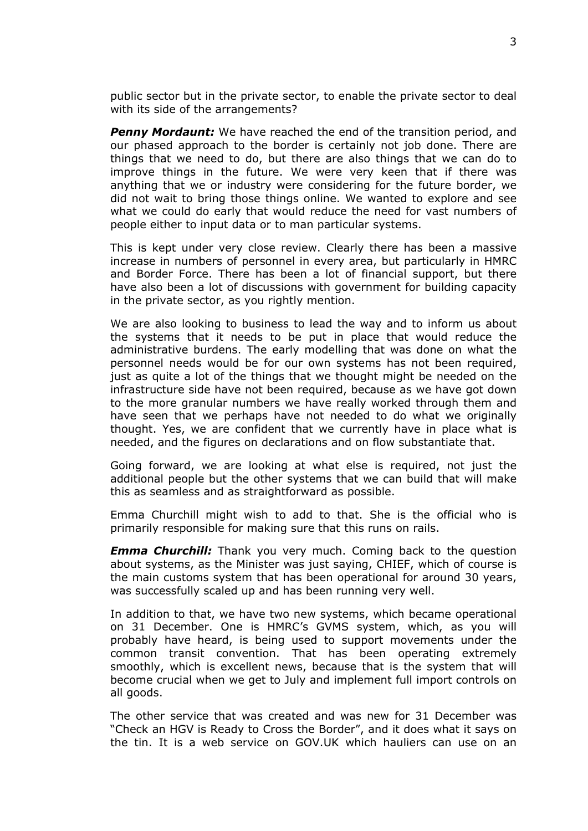public sector but in the private sector, to enable the private sector to deal with its side of the arrangements?

*Penny Mordaunt:* We have reached the end of the transition period, and our phased approach to the border is certainly not job done. There are things that we need to do, but there are also things that we can do to improve things in the future. We were very keen that if there was anything that we or industry were considering for the future border, we did not wait to bring those things online. We wanted to explore and see what we could do early that would reduce the need for vast numbers of people either to input data or to man particular systems.

This is kept under very close review. Clearly there has been a massive increase in numbers of personnel in every area, but particularly in HMRC and Border Force. There has been a lot of financial support, but there have also been a lot of discussions with government for building capacity in the private sector, as you rightly mention.

We are also looking to business to lead the way and to inform us about the systems that it needs to be put in place that would reduce the administrative burdens. The early modelling that was done on what the personnel needs would be for our own systems has not been required, just as quite a lot of the things that we thought might be needed on the infrastructure side have not been required, because as we have got down to the more granular numbers we have really worked through them and have seen that we perhaps have not needed to do what we originally thought. Yes, we are confident that we currently have in place what is needed, and the figures on declarations and on flow substantiate that.

Going forward, we are looking at what else is required, not just the additional people but the other systems that we can build that will make this as seamless and as straightforward as possible.

Emma Churchill might wish to add to that. She is the official who is primarily responsible for making sure that this runs on rails.

*Emma Churchill:* Thank you very much. Coming back to the question about systems, as the Minister was just saying, CHIEF, which of course is the main customs system that has been operational for around 30 years, was successfully scaled up and has been running very well.

In addition to that, we have two new systems, which became operational on 31 December. One is HMRC's GVMS system, which, as you will probably have heard, is being used to support movements under the common transit convention. That has been operating extremely smoothly, which is excellent news, because that is the system that will become crucial when we get to July and implement full import controls on all goods.

The other service that was created and was new for 31 December was "Check an HGV is Ready to Cross the Border", and it does what it says on the tin. It is a web service on GOV.UK which hauliers can use on an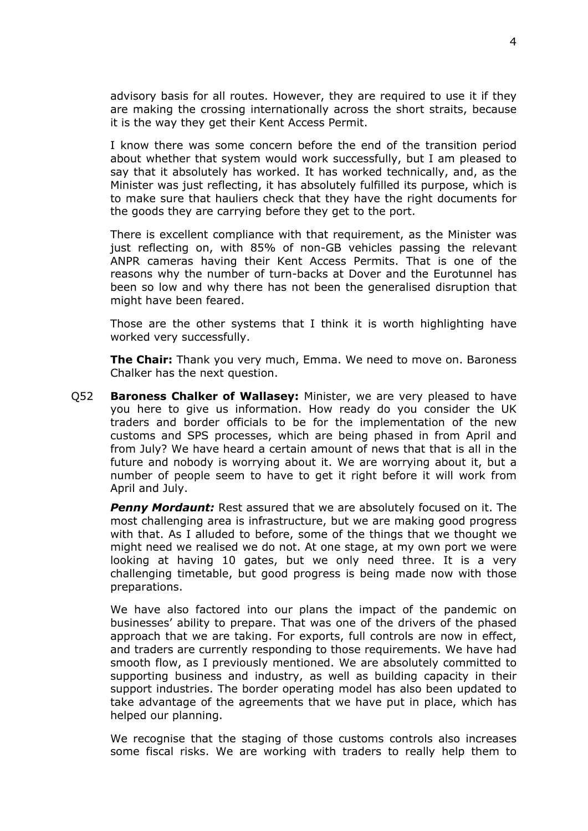advisory basis for all routes. However, they are required to use it if they are making the crossing internationally across the short straits, because it is the way they get their Kent Access Permit.

I know there was some concern before the end of the transition period about whether that system would work successfully, but I am pleased to say that it absolutely has worked. It has worked technically, and, as the Minister was just reflecting, it has absolutely fulfilled its purpose, which is to make sure that hauliers check that they have the right documents for the goods they are carrying before they get to the port.

There is excellent compliance with that requirement, as the Minister was just reflecting on, with 85% of non-GB vehicles passing the relevant ANPR cameras having their Kent Access Permits. That is one of the reasons why the number of turn-backs at Dover and the Eurotunnel has been so low and why there has not been the generalised disruption that might have been feared.

Those are the other systems that I think it is worth highlighting have worked very successfully.

**The Chair:** Thank you very much, Emma. We need to move on. Baroness Chalker has the next question.

Q52 **Baroness Chalker of Wallasey:** Minister, we are very pleased to have you here to give us information. How ready do you consider the UK traders and border officials to be for the implementation of the new customs and SPS processes, which are being phased in from April and from July? We have heard a certain amount of news that that is all in the future and nobody is worrying about it. We are worrying about it, but a number of people seem to have to get it right before it will work from April and July.

*Penny Mordaunt:* Rest assured that we are absolutely focused on it. The most challenging area is infrastructure, but we are making good progress with that. As I alluded to before, some of the things that we thought we might need we realised we do not. At one stage, at my own port we were looking at having 10 gates, but we only need three. It is a very challenging timetable, but good progress is being made now with those preparations.

We have also factored into our plans the impact of the pandemic on businesses' ability to prepare. That was one of the drivers of the phased approach that we are taking. For exports, full controls are now in effect, and traders are currently responding to those requirements. We have had smooth flow, as I previously mentioned. We are absolutely committed to supporting business and industry, as well as building capacity in their support industries. The border operating model has also been updated to take advantage of the agreements that we have put in place, which has helped our planning.

We recognise that the staging of those customs controls also increases some fiscal risks. We are working with traders to really help them to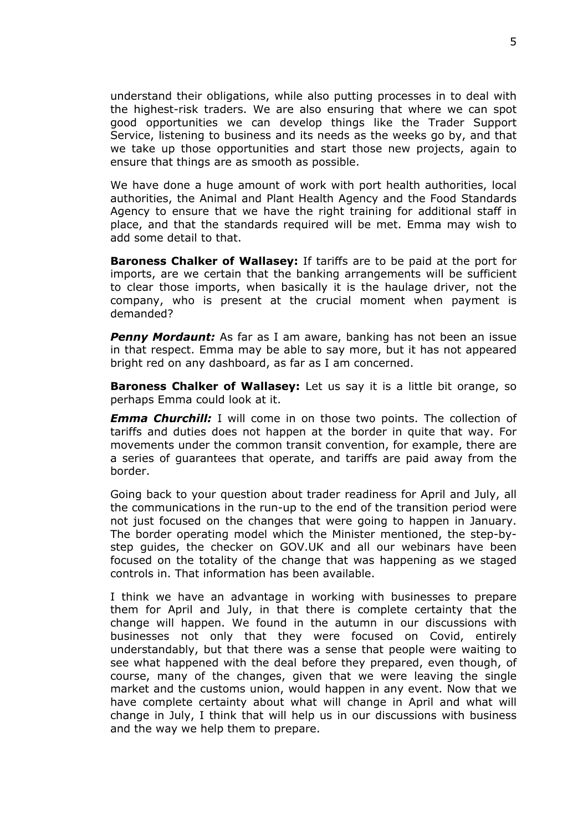understand their obligations, while also putting processes in to deal with the highest-risk traders. We are also ensuring that where we can spot good opportunities we can develop things like the Trader Support Service, listening to business and its needs as the weeks go by, and that we take up those opportunities and start those new projects, again to ensure that things are as smooth as possible.

We have done a huge amount of work with port health authorities, local authorities, the Animal and Plant Health Agency and the Food Standards Agency to ensure that we have the right training for additional staff in place, and that the standards required will be met. Emma may wish to add some detail to that.

**Baroness Chalker of Wallasey:** If tariffs are to be paid at the port for imports, are we certain that the banking arrangements will be sufficient to clear those imports, when basically it is the haulage driver, not the company, who is present at the crucial moment when payment is demanded?

*Penny Mordaunt:* As far as I am aware, banking has not been an issue in that respect. Emma may be able to say more, but it has not appeared bright red on any dashboard, as far as I am concerned.

**Baroness Chalker of Wallasey:** Let us say it is a little bit orange, so perhaps Emma could look at it.

*Emma Churchill:* I will come in on those two points. The collection of tariffs and duties does not happen at the border in quite that way. For movements under the common transit convention, for example, there are a series of guarantees that operate, and tariffs are paid away from the border.

Going back to your question about trader readiness for April and July, all the communications in the run-up to the end of the transition period were not just focused on the changes that were going to happen in January. The border operating model which the Minister mentioned, the step-bystep guides, the checker on GOV.UK and all our webinars have been focused on the totality of the change that was happening as we staged controls in. That information has been available.

I think we have an advantage in working with businesses to prepare them for April and July, in that there is complete certainty that the change will happen. We found in the autumn in our discussions with businesses not only that they were focused on Covid, entirely understandably, but that there was a sense that people were waiting to see what happened with the deal before they prepared, even though, of course, many of the changes, given that we were leaving the single market and the customs union, would happen in any event. Now that we have complete certainty about what will change in April and what will change in July, I think that will help us in our discussions with business and the way we help them to prepare.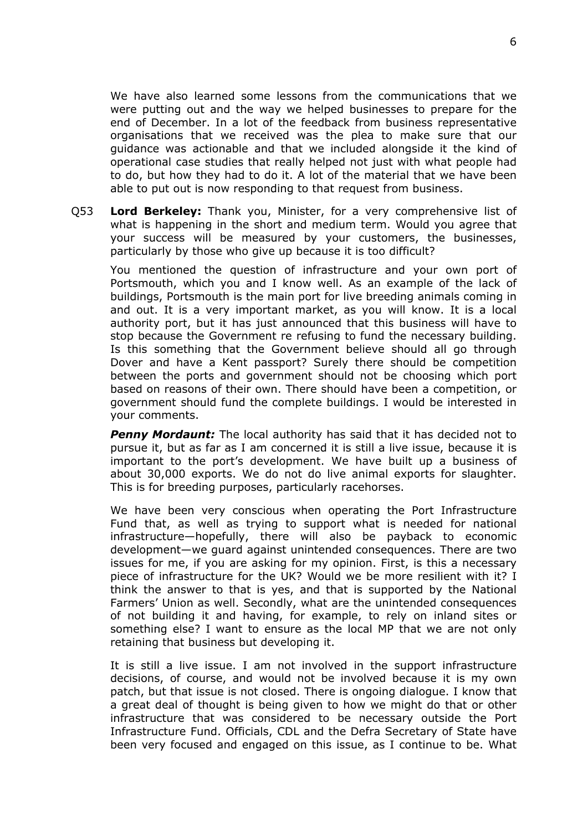We have also learned some lessons from the communications that we were putting out and the way we helped businesses to prepare for the end of December. In a lot of the feedback from business representative organisations that we received was the plea to make sure that our guidance was actionable and that we included alongside it the kind of operational case studies that really helped not just with what people had to do, but how they had to do it. A lot of the material that we have been able to put out is now responding to that request from business.

Q53 **Lord Berkeley:** Thank you, Minister, for a very comprehensive list of what is happening in the short and medium term. Would you agree that your success will be measured by your customers, the businesses, particularly by those who give up because it is too difficult?

You mentioned the question of infrastructure and your own port of Portsmouth, which you and I know well. As an example of the lack of buildings, Portsmouth is the main port for live breeding animals coming in and out. It is a very important market, as you will know. It is a local authority port, but it has just announced that this business will have to stop because the Government re refusing to fund the necessary building. Is this something that the Government believe should all go through Dover and have a Kent passport? Surely there should be competition between the ports and government should not be choosing which port based on reasons of their own. There should have been a competition, or government should fund the complete buildings. I would be interested in your comments.

*Penny Mordaunt:* The local authority has said that it has decided not to pursue it, but as far as I am concerned it is still a live issue, because it is important to the port's development. We have built up a business of about 30,000 exports. We do not do live animal exports for slaughter. This is for breeding purposes, particularly racehorses.

We have been very conscious when operating the Port Infrastructure Fund that, as well as trying to support what is needed for national infrastructure—hopefully, there will also be payback to economic development—we guard against unintended consequences. There are two issues for me, if you are asking for my opinion. First, is this a necessary piece of infrastructure for the UK? Would we be more resilient with it? I think the answer to that is yes, and that is supported by the National Farmers' Union as well. Secondly, what are the unintended consequences of not building it and having, for example, to rely on inland sites or something else? I want to ensure as the local MP that we are not only retaining that business but developing it.

It is still a live issue. I am not involved in the support infrastructure decisions, of course, and would not be involved because it is my own patch, but that issue is not closed. There is ongoing dialogue. I know that a great deal of thought is being given to how we might do that or other infrastructure that was considered to be necessary outside the Port Infrastructure Fund. Officials, CDL and the Defra Secretary of State have been very focused and engaged on this issue, as I continue to be. What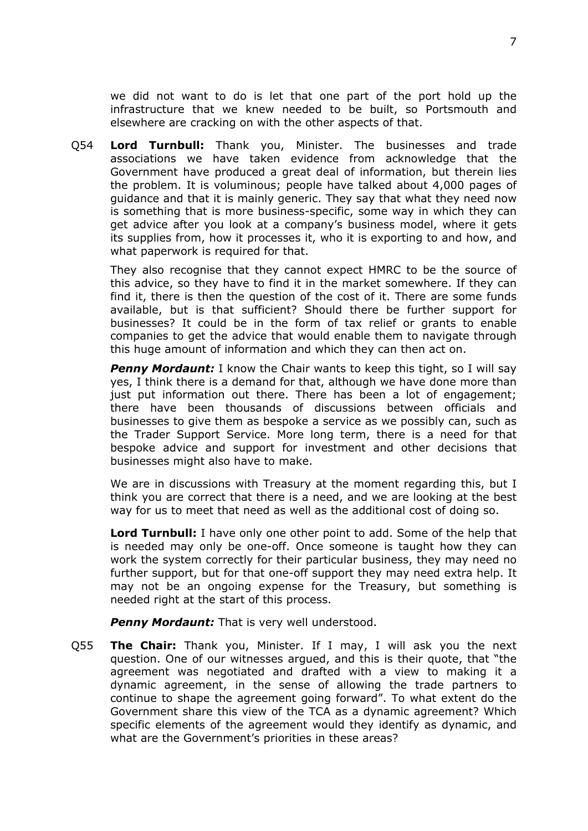we did not want to do is let that one part of the port hold up the infrastructure that we knew needed to be built, so Portsmouth and elsewhere are cracking on with the other aspects of that.

Q54 **Lord Turnbull:** Thank you, Minister. The businesses and trade associations we have taken evidence from acknowledge that the Government have produced a great deal of information, but therein lies the problem. It is voluminous; people have talked about 4,000 pages of guidance and that it is mainly generic. They say that what they need now is something that is more business-specific, some way in which they can get advice after you look at a company's business model, where it gets its supplies from, how it processes it, who it is exporting to and how, and what paperwork is required for that.

They also recognise that they cannot expect HMRC to be the source of this advice, so they have to find it in the market somewhere. If they can find it, there is then the question of the cost of it. There are some funds available, but is that sufficient? Should there be further support for businesses? It could be in the form of tax relief or grants to enable companies to get the advice that would enable them to navigate through this huge amount of information and which they can then act on.

*Penny Mordaunt:* I know the Chair wants to keep this tight, so I will say yes, I think there is a demand for that, although we have done more than just put information out there. There has been a lot of engagement: there have been thousands of discussions between officials and businesses to give them as bespoke a service as we possibly can, such as the Trader Support Service. More long term, there is a need for that bespoke advice and support for investment and other decisions that businesses might also have to make.

We are in discussions with Treasury at the moment regarding this, but I think you are correct that there is a need, and we are looking at the best way for us to meet that need as well as the additional cost of doing so.

**Lord Turnbull:** I have only one other point to add. Some of the help that is needed may only be one-off. Once someone is taught how they can work the system correctly for their particular business, they may need no further support, but for that one-off support they may need extra help. It may not be an ongoing expense for the Treasury, but something is needed right at the start of this process.

*Penny Mordaunt:* That is very well understood.

Q55 **The Chair:** Thank you, Minister. If I may, I will ask you the next question. One of our witnesses argued, and this is their quote, that "the agreement was negotiated and drafted with a view to making it a dynamic agreement, in the sense of allowing the trade partners to continue to shape the agreement going forward". To what extent do the Government share this view of the TCA as a dynamic agreement? Which specific elements of the agreement would they identify as dynamic, and what are the Government's priorities in these areas?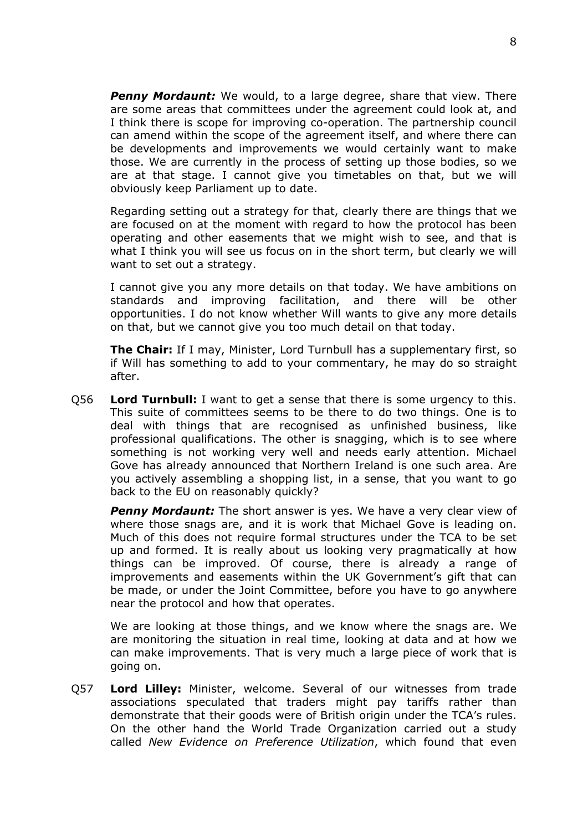*Penny Mordaunt:* We would, to a large degree, share that view. There are some areas that committees under the agreement could look at, and I think there is scope for improving co-operation. The partnership council can amend within the scope of the agreement itself, and where there can be developments and improvements we would certainly want to make those. We are currently in the process of setting up those bodies, so we are at that stage. I cannot give you timetables on that, but we will obviously keep Parliament up to date.

Regarding setting out a strategy for that, clearly there are things that we are focused on at the moment with regard to how the protocol has been operating and other easements that we might wish to see, and that is what I think you will see us focus on in the short term, but clearly we will want to set out a strategy.

I cannot give you any more details on that today. We have ambitions on standards and improving facilitation, and there will be other opportunities. I do not know whether Will wants to give any more details on that, but we cannot give you too much detail on that today.

**The Chair:** If I may, Minister, Lord Turnbull has a supplementary first, so if Will has something to add to your commentary, he may do so straight after.

Q56 **Lord Turnbull:** I want to get a sense that there is some urgency to this. This suite of committees seems to be there to do two things. One is to deal with things that are recognised as unfinished business, like professional qualifications. The other is snagging, which is to see where something is not working very well and needs early attention. Michael Gove has already announced that Northern Ireland is one such area. Are you actively assembling a shopping list, in a sense, that you want to go back to the EU on reasonably quickly?

**Penny Mordaunt:** The short answer is yes. We have a very clear view of where those snags are, and it is work that Michael Gove is leading on. Much of this does not require formal structures under the TCA to be set up and formed. It is really about us looking very pragmatically at how things can be improved. Of course, there is already a range of improvements and easements within the UK Government's gift that can be made, or under the Joint Committee, before you have to go anywhere near the protocol and how that operates.

We are looking at those things, and we know where the snags are. We are monitoring the situation in real time, looking at data and at how we can make improvements. That is very much a large piece of work that is going on.

Q57 **Lord Lilley:** Minister, welcome. Several of our witnesses from trade associations speculated that traders might pay tariffs rather than demonstrate that their goods were of British origin under the TCA's rules. On the other hand the World Trade Organization carried out a study called *New Evidence on Preference Utilization*, which found that even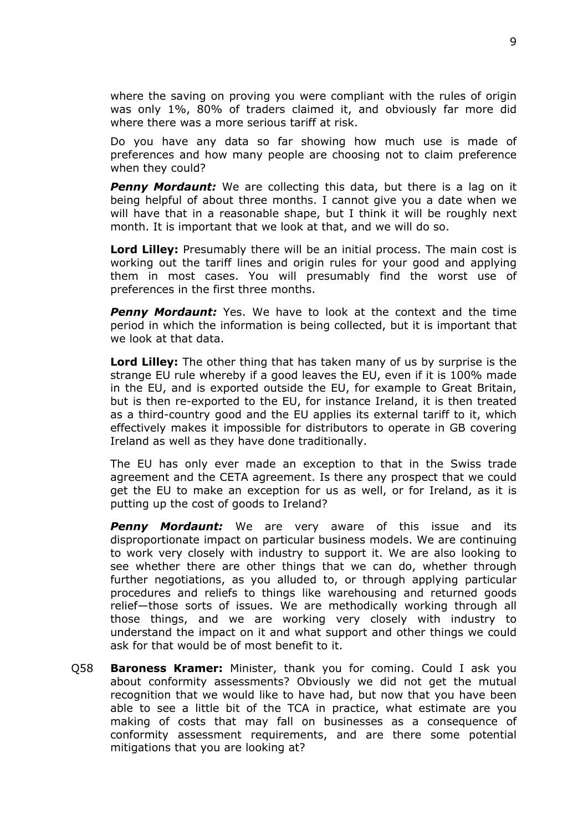where the saving on proving you were compliant with the rules of origin was only 1%, 80% of traders claimed it, and obviously far more did where there was a more serious tariff at risk.

Do you have any data so far showing how much use is made of preferences and how many people are choosing not to claim preference when they could?

**Penny Mordaunt:** We are collecting this data, but there is a lag on it being helpful of about three months. I cannot give you a date when we will have that in a reasonable shape, but I think it will be roughly next month. It is important that we look at that, and we will do so.

**Lord Lilley:** Presumably there will be an initial process. The main cost is working out the tariff lines and origin rules for your good and applying them in most cases. You will presumably find the worst use of preferences in the first three months.

*Penny Mordaunt:* Yes. We have to look at the context and the time period in which the information is being collected, but it is important that we look at that data.

**Lord Lilley:** The other thing that has taken many of us by surprise is the strange EU rule whereby if a good leaves the EU, even if it is 100% made in the EU, and is exported outside the EU, for example to Great Britain, but is then re-exported to the EU, for instance Ireland, it is then treated as a third-country good and the EU applies its external tariff to it, which effectively makes it impossible for distributors to operate in GB covering Ireland as well as they have done traditionally.

The EU has only ever made an exception to that in the Swiss trade agreement and the CETA agreement. Is there any prospect that we could get the EU to make an exception for us as well, or for Ireland, as it is putting up the cost of goods to Ireland?

*Penny Mordaunt:* We are very aware of this issue and its disproportionate impact on particular business models. We are continuing to work very closely with industry to support it. We are also looking to see whether there are other things that we can do, whether through further negotiations, as you alluded to, or through applying particular procedures and reliefs to things like warehousing and returned goods relief—those sorts of issues. We are methodically working through all those things, and we are working very closely with industry to understand the impact on it and what support and other things we could ask for that would be of most benefit to it.

Q58 **Baroness Kramer:** Minister, thank you for coming. Could I ask you about conformity assessments? Obviously we did not get the mutual recognition that we would like to have had, but now that you have been able to see a little bit of the TCA in practice, what estimate are you making of costs that may fall on businesses as a consequence of conformity assessment requirements, and are there some potential mitigations that you are looking at?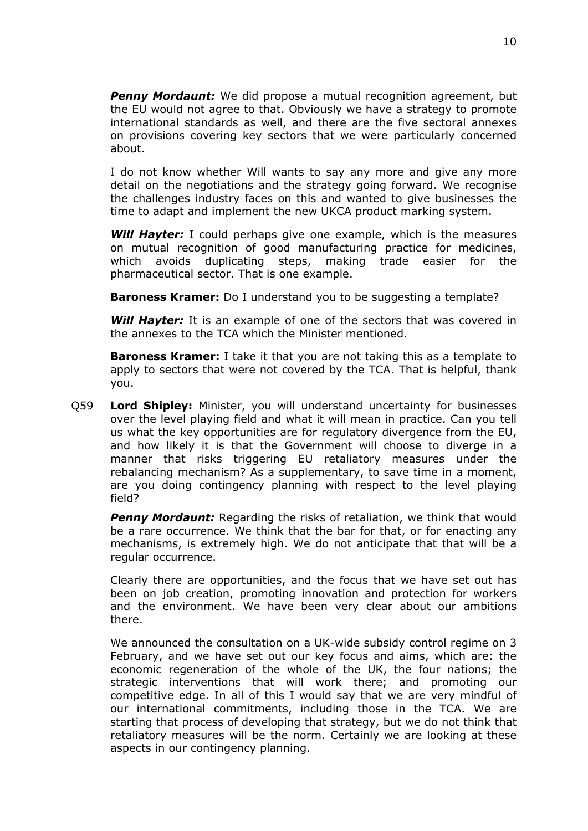*Penny Mordaunt:* We did propose a mutual recognition agreement, but the EU would not agree to that. Obviously we have a strategy to promote international standards as well, and there are the five sectoral annexes on provisions covering key sectors that we were particularly concerned about.

I do not know whether Will wants to say any more and give any more detail on the negotiations and the strategy going forward. We recognise the challenges industry faces on this and wanted to give businesses the time to adapt and implement the new UKCA product marking system.

*Will Hayter:* I could perhaps give one example, which is the measures on mutual recognition of good manufacturing practice for medicines, which avoids duplicating steps, making trade easier for the pharmaceutical sector. That is one example.

**Baroness Kramer:** Do I understand you to be suggesting a template?

*Will Hayter:* It is an example of one of the sectors that was covered in the annexes to the TCA which the Minister mentioned.

**Baroness Kramer:** I take it that you are not taking this as a template to apply to sectors that were not covered by the TCA. That is helpful, thank you.

Q59 **Lord Shipley:** Minister, you will understand uncertainty for businesses over the level playing field and what it will mean in practice. Can you tell us what the key opportunities are for regulatory divergence from the EU, and how likely it is that the Government will choose to diverge in a manner that risks triggering EU retaliatory measures under the rebalancing mechanism? As a supplementary, to save time in a moment, are you doing contingency planning with respect to the level playing field?

*Penny Mordaunt:* Regarding the risks of retaliation, we think that would be a rare occurrence. We think that the bar for that, or for enacting any mechanisms, is extremely high. We do not anticipate that that will be a regular occurrence.

Clearly there are opportunities, and the focus that we have set out has been on job creation, promoting innovation and protection for workers and the environment. We have been very clear about our ambitions there.

We announced the consultation on a UK-wide subsidy control regime on 3 February, and we have set out our key focus and aims, which are: the economic regeneration of the whole of the UK, the four nations; the strategic interventions that will work there; and promoting our competitive edge. In all of this I would say that we are very mindful of our international commitments, including those in the TCA. We are starting that process of developing that strategy, but we do not think that retaliatory measures will be the norm. Certainly we are looking at these aspects in our contingency planning.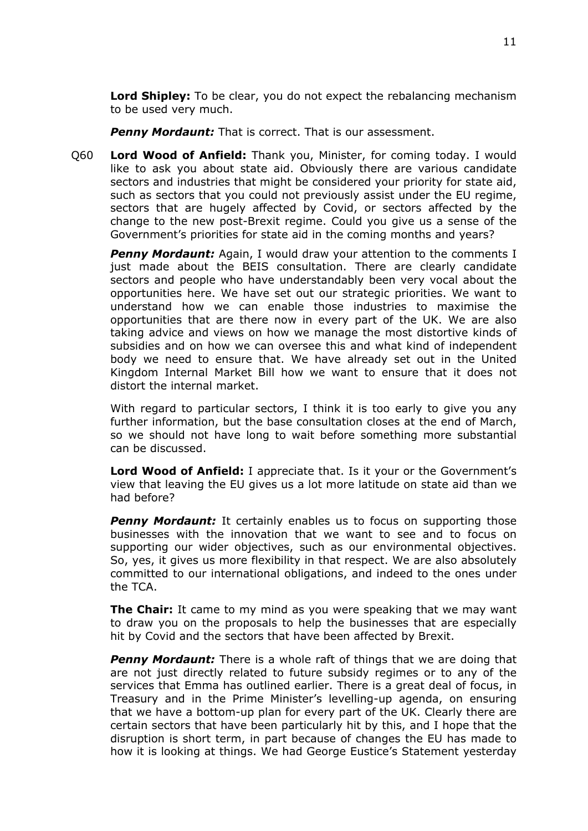**Lord Shipley:** To be clear, you do not expect the rebalancing mechanism to be used very much.

*Penny Mordaunt:* That is correct. That is our assessment.

Q60 **Lord Wood of Anfield:** Thank you, Minister, for coming today. I would like to ask you about state aid. Obviously there are various candidate sectors and industries that might be considered your priority for state aid, such as sectors that you could not previously assist under the EU regime, sectors that are hugely affected by Covid, or sectors affected by the change to the new post-Brexit regime. Could you give us a sense of the Government's priorities for state aid in the coming months and years?

**Penny Mordaunt:** Again, I would draw your attention to the comments I just made about the BEIS consultation. There are clearly candidate sectors and people who have understandably been very vocal about the opportunities here. We have set out our strategic priorities. We want to understand how we can enable those industries to maximise the opportunities that are there now in every part of the UK. We are also taking advice and views on how we manage the most distortive kinds of subsidies and on how we can oversee this and what kind of independent body we need to ensure that. We have already set out in the United Kingdom Internal Market Bill how we want to ensure that it does not distort the internal market.

With regard to particular sectors, I think it is too early to give you any further information, but the base consultation closes at the end of March, so we should not have long to wait before something more substantial can be discussed.

**Lord Wood of Anfield:** I appreciate that. Is it your or the Government's view that leaving the EU gives us a lot more latitude on state aid than we had before?

**Penny Mordaunt:** It certainly enables us to focus on supporting those businesses with the innovation that we want to see and to focus on supporting our wider objectives, such as our environmental objectives. So, yes, it gives us more flexibility in that respect. We are also absolutely committed to our international obligations, and indeed to the ones under the TCA.

**The Chair:** It came to my mind as you were speaking that we may want to draw you on the proposals to help the businesses that are especially hit by Covid and the sectors that have been affected by Brexit.

*Penny Mordaunt:* There is a whole raft of things that we are doing that are not just directly related to future subsidy regimes or to any of the services that Emma has outlined earlier. There is a great deal of focus, in Treasury and in the Prime Minister's levelling-up agenda, on ensuring that we have a bottom-up plan for every part of the UK. Clearly there are certain sectors that have been particularly hit by this, and I hope that the disruption is short term, in part because of changes the EU has made to how it is looking at things. We had George Eustice's Statement yesterday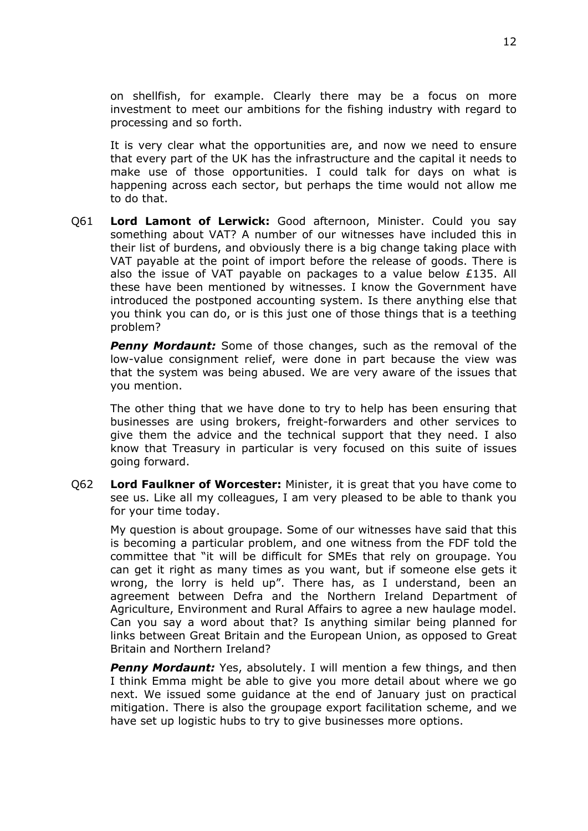on shellfish, for example. Clearly there may be a focus on more investment to meet our ambitions for the fishing industry with regard to processing and so forth.

It is very clear what the opportunities are, and now we need to ensure that every part of the UK has the infrastructure and the capital it needs to make use of those opportunities. I could talk for days on what is happening across each sector, but perhaps the time would not allow me to do that.

Q61 **Lord Lamont of Lerwick:** Good afternoon, Minister. Could you say something about VAT? A number of our witnesses have included this in their list of burdens, and obviously there is a big change taking place with VAT payable at the point of import before the release of goods. There is also the issue of VAT payable on packages to a value below £135. All these have been mentioned by witnesses. I know the Government have introduced the postponed accounting system. Is there anything else that you think you can do, or is this just one of those things that is a teething problem?

*Penny Mordaunt:* Some of those changes, such as the removal of the low-value consignment relief, were done in part because the view was that the system was being abused. We are very aware of the issues that you mention.

The other thing that we have done to try to help has been ensuring that businesses are using brokers, freight-forwarders and other services to give them the advice and the technical support that they need. I also know that Treasury in particular is very focused on this suite of issues going forward.

Q62 **Lord Faulkner of Worcester:** Minister, it is great that you have come to see us. Like all my colleagues, I am very pleased to be able to thank you for your time today.

My question is about groupage. Some of our witnesses have said that this is becoming a particular problem, and one witness from the FDF told the committee that "it will be difficult for SMEs that rely on groupage. You can get it right as many times as you want, but if someone else gets it wrong, the lorry is held up". There has, as I understand, been an agreement between Defra and the Northern Ireland Department of Agriculture, Environment and Rural Affairs to agree a new haulage model. Can you say a word about that? Is anything similar being planned for links between Great Britain and the European Union, as opposed to Great Britain and Northern Ireland?

**Penny Mordaunt:** Yes, absolutely. I will mention a few things, and then I think Emma might be able to give you more detail about where we go next. We issued some guidance at the end of January just on practical mitigation. There is also the groupage export facilitation scheme, and we have set up logistic hubs to try to give businesses more options.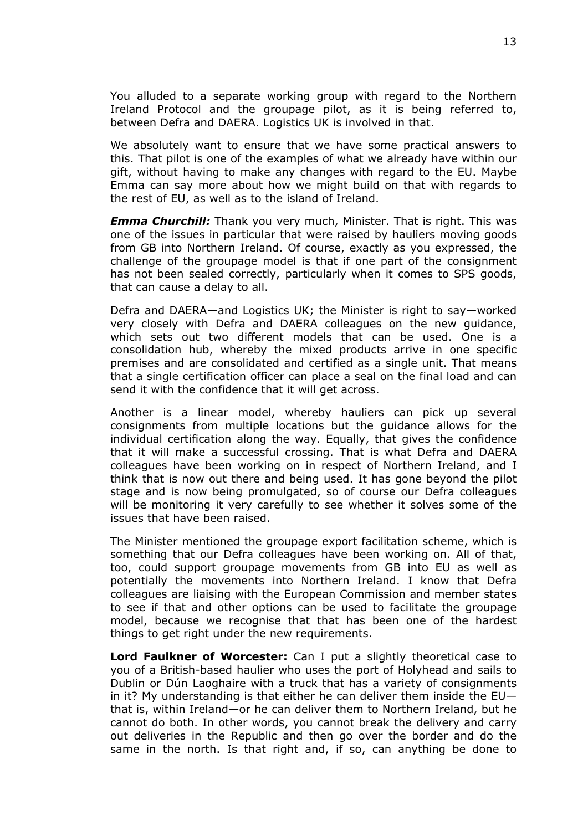You alluded to a separate working group with regard to the Northern Ireland Protocol and the groupage pilot, as it is being referred to, between Defra and DAERA. Logistics UK is involved in that.

We absolutely want to ensure that we have some practical answers to this. That pilot is one of the examples of what we already have within our gift, without having to make any changes with regard to the EU. Maybe Emma can say more about how we might build on that with regards to the rest of EU, as well as to the island of Ireland.

*Emma Churchill:* Thank you very much, Minister. That is right. This was one of the issues in particular that were raised by hauliers moving goods from GB into Northern Ireland. Of course, exactly as you expressed, the challenge of the groupage model is that if one part of the consignment has not been sealed correctly, particularly when it comes to SPS goods, that can cause a delay to all.

Defra and DAERA—and Logistics UK; the Minister is right to say—worked very closely with Defra and DAERA colleagues on the new guidance, which sets out two different models that can be used. One is a consolidation hub, whereby the mixed products arrive in one specific premises and are consolidated and certified as a single unit. That means that a single certification officer can place a seal on the final load and can send it with the confidence that it will get across.

Another is a linear model, whereby hauliers can pick up several consignments from multiple locations but the guidance allows for the individual certification along the way. Equally, that gives the confidence that it will make a successful crossing. That is what Defra and DAERA colleagues have been working on in respect of Northern Ireland, and I think that is now out there and being used. It has gone beyond the pilot stage and is now being promulgated, so of course our Defra colleagues will be monitoring it very carefully to see whether it solves some of the issues that have been raised.

The Minister mentioned the groupage export facilitation scheme, which is something that our Defra colleagues have been working on. All of that, too, could support groupage movements from GB into EU as well as potentially the movements into Northern Ireland. I know that Defra colleagues are liaising with the European Commission and member states to see if that and other options can be used to facilitate the groupage model, because we recognise that that has been one of the hardest things to get right under the new requirements.

**Lord Faulkner of Worcester:** Can I put a slightly theoretical case to you of a British-based haulier who uses the port of Holyhead and sails to Dublin or Dún Laoghaire with a truck that has a variety of consignments in it? My understanding is that either he can deliver them inside the EU that is, within Ireland—or he can deliver them to Northern Ireland, but he cannot do both. In other words, you cannot break the delivery and carry out deliveries in the Republic and then go over the border and do the same in the north. Is that right and, if so, can anything be done to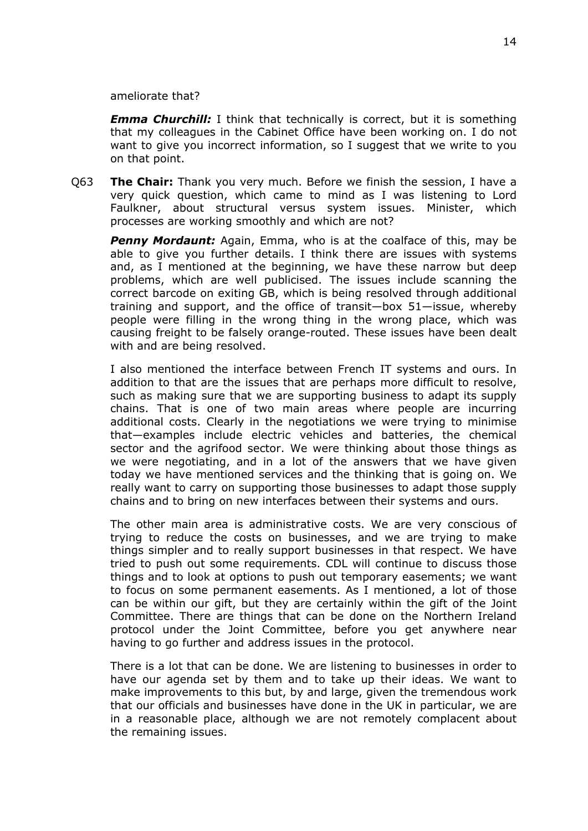ameliorate that?

*Emma Churchill:* I think that technically is correct, but it is something that my colleagues in the Cabinet Office have been working on. I do not want to give you incorrect information, so I suggest that we write to you on that point.

Q63 **The Chair:** Thank you very much. Before we finish the session, I have a very quick question, which came to mind as I was listening to Lord Faulkner, about structural versus system issues. Minister, which processes are working smoothly and which are not?

*Penny Mordaunt:* Again, Emma, who is at the coalface of this, may be able to give you further details. I think there are issues with systems and, as I mentioned at the beginning, we have these narrow but deep problems, which are well publicised. The issues include scanning the correct barcode on exiting GB, which is being resolved through additional training and support, and the office of transit—box 51—issue, whereby people were filling in the wrong thing in the wrong place, which was causing freight to be falsely orange-routed. These issues have been dealt with and are being resolved.

I also mentioned the interface between French IT systems and ours. In addition to that are the issues that are perhaps more difficult to resolve, such as making sure that we are supporting business to adapt its supply chains. That is one of two main areas where people are incurring additional costs. Clearly in the negotiations we were trying to minimise that—examples include electric vehicles and batteries, the chemical sector and the agrifood sector. We were thinking about those things as we were negotiating, and in a lot of the answers that we have given today we have mentioned services and the thinking that is going on. We really want to carry on supporting those businesses to adapt those supply chains and to bring on new interfaces between their systems and ours.

The other main area is administrative costs. We are very conscious of trying to reduce the costs on businesses, and we are trying to make things simpler and to really support businesses in that respect. We have tried to push out some requirements. CDL will continue to discuss those things and to look at options to push out temporary easements; we want to focus on some permanent easements. As I mentioned, a lot of those can be within our gift, but they are certainly within the gift of the Joint Committee. There are things that can be done on the Northern Ireland protocol under the Joint Committee, before you get anywhere near having to go further and address issues in the protocol.

There is a lot that can be done. We are listening to businesses in order to have our agenda set by them and to take up their ideas. We want to make improvements to this but, by and large, given the tremendous work that our officials and businesses have done in the UK in particular, we are in a reasonable place, although we are not remotely complacent about the remaining issues.